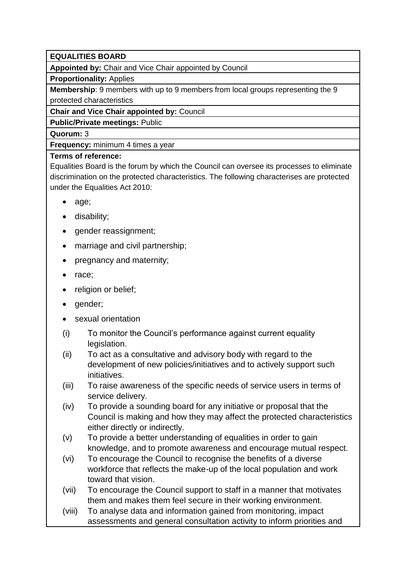## **EQUALITIES BOARD**

**Appointed by:** Chair and Vice Chair appointed by Council

**Proportionality:** Applies

**Membership**: 9 members with up to 9 members from local groups representing the 9 protected characteristics

**Chair and Vice Chair appointed by:** Council

**Public/Private meetings:** Public

**Quorum:** 3

**Frequency:** minimum 4 times a year

## **Terms of reference:**

Equalities Board is the forum by which the Council can oversee its processes to eliminate discrimination on the protected characteristics. The following characterises are protected under the Equalities Act 2010:

- age:
- disability;
- gender reassignment;
- marriage and civil partnership;
- pregnancy and maternity;
- race:
- religion or belief;
- gender:
- sexual orientation
- (i) To monitor the Council's performance against current equality legislation.
- (ii) To act as a consultative and advisory body with regard to the development of new policies/initiatives and to actively support such initiatives.
- (iii) To raise awareness of the specific needs of service users in terms of service delivery.
- (iv) To provide a sounding board for any initiative or proposal that the Council is making and how they may affect the protected characteristics either directly or indirectly.
- (v) To provide a better understanding of equalities in order to gain knowledge, and to promote awareness and encourage mutual respect.
- (vi) To encourage the Council to recognise the benefits of a diverse workforce that reflects the make-up of the local population and work toward that vision.
- (vii) To encourage the Council support to staff in a manner that motivates them and makes them feel secure in their working environment.
- (viii) To analyse data and information gained from monitoring, impact assessments and general consultation activity to inform priorities and